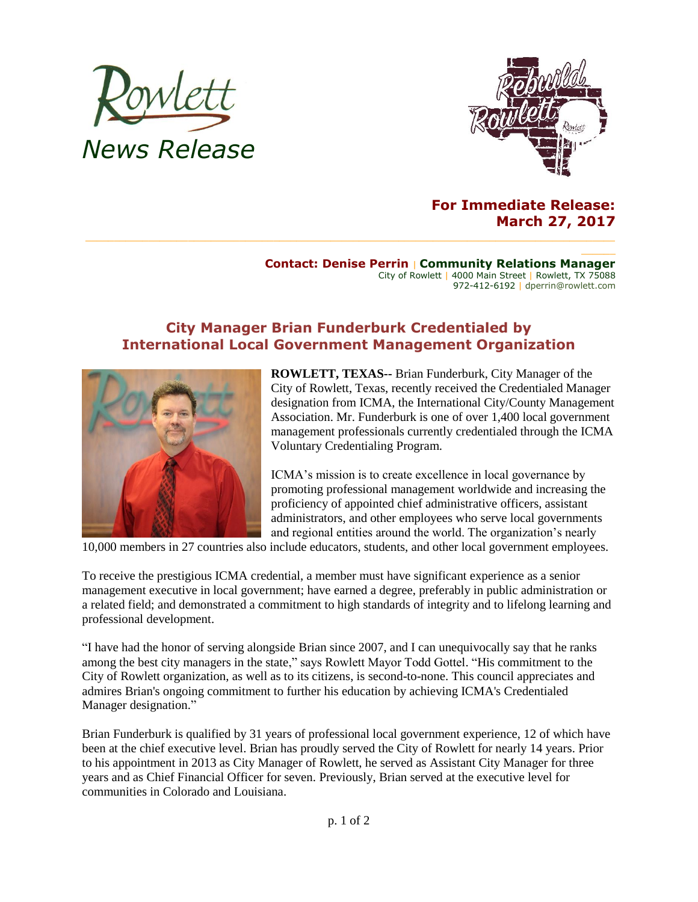



## **For Immediate Release: March 27, 2017**

## **Contact: Denise Perrin** | **Community Relations Manager** City of Rowlett | 4000 Main Street | Rowlett, TX 75088 972-412-6192 | dperrin@rowlett.com

## **City Manager Brian Funderburk Credentialed by International Local Government Management Organization**



**ROWLETT, TEXAS--** Brian Funderburk, City Manager of the City of Rowlett, Texas, recently received the Credentialed Manager designation from ICMA, the International City/County Management Association. Mr. Funderburk is one of over 1,400 local government management professionals currently credentialed through the ICMA Voluntary Credentialing Program.

ICMA's mission is to create excellence in local governance by promoting professional management worldwide and increasing the proficiency of appointed chief administrative officers, assistant administrators, and other employees who serve local governments and regional entities around the world. The organization's nearly

10,000 members in 27 countries also include educators, students, and other local government employees.

To receive the prestigious ICMA credential, a member must have significant experience as a senior management executive in local government; have earned a degree, preferably in public administration or a related field; and demonstrated a commitment to high standards of integrity and to lifelong learning and professional development.

"I have had the honor of serving alongside Brian since 2007, and I can unequivocally say that he ranks among the best city managers in the state," says Rowlett Mayor Todd Gottel. "His commitment to the City of Rowlett organization, as well as to its citizens, is second-to-none. This council appreciates and admires Brian's ongoing commitment to further his education by achieving ICMA's Credentialed Manager designation."

Brian Funderburk is qualified by 31 years of professional local government experience, 12 of which have been at the chief executive level. Brian has proudly served the City of Rowlett for nearly 14 years. Prior to his appointment in 2013 as City Manager of Rowlett, he served as Assistant City Manager for three years and as Chief Financial Officer for seven. Previously, Brian served at the executive level for communities in Colorado and Louisiana.